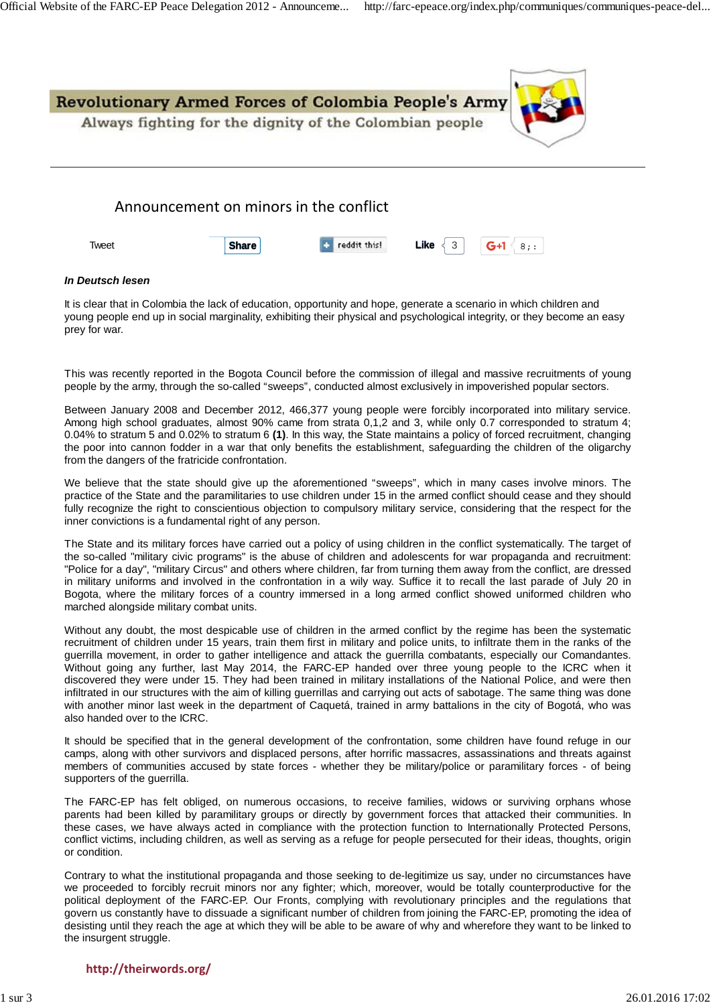

| Tweet | <b>Share</b> | <b>C</b> reddit this! | Like $\leqslant$ 3 | $G+1$<br>$^{\circ}$ 8:: |
|-------|--------------|-----------------------|--------------------|-------------------------|
|       |              |                       |                    |                         |

#### *In Deutsch lesen*

It is clear that in Colombia the lack of education, opportunity and hope, generate a scenario in which children and young people end up in social marginality, exhibiting their physical and psychological integrity, or they become an easy prey for war.

This was recently reported in the Bogota Council before the commission of illegal and massive recruitments of young people by the army, through the so-called "sweeps", conducted almost exclusively in impoverished popular sectors.

Between January 2008 and December 2012, 466,377 young people were forcibly incorporated into military service. Among high school graduates, almost 90% came from strata 0,1,2 and 3, while only 0.7 corresponded to stratum 4; 0.04% to stratum 5 and 0.02% to stratum 6 **(1)**. In this way, the State maintains a policy of forced recruitment, changing the poor into cannon fodder in a war that only benefits the establishment, safeguarding the children of the oligarchy from the dangers of the fratricide confrontation.

We believe that the state should give up the aforementioned "sweeps", which in many cases involve minors. The practice of the State and the paramilitaries to use children under 15 in the armed conflict should cease and they should fully recognize the right to conscientious objection to compulsory military service, considering that the respect for the inner convictions is a fundamental right of any person.

The State and its military forces have carried out a policy of using children in the conflict systematically. The target of the so-called "military civic programs" is the abuse of children and adolescents for war propaganda and recruitment: "Police for a day", "military Circus" and others where children, far from turning them away from the conflict, are dressed in military uniforms and involved in the confrontation in a wily way. Suffice it to recall the last parade of July 20 in Bogota, where the military forces of a country immersed in a long armed conflict showed uniformed children who marched alongside military combat units.

Without any doubt, the most despicable use of children in the armed conflict by the regime has been the systematic recruitment of children under 15 years, train them first in military and police units, to infiltrate them in the ranks of the guerrilla movement, in order to gather intelligence and attack the guerrilla combatants, especially our Comandantes. Without going any further, last May 2014, the FARC-EP handed over three young people to the ICRC when it discovered they were under 15. They had been trained in military installations of the National Police, and were then infiltrated in our structures with the aim of killing guerrillas and carrying out acts of sabotage. The same thing was done with another minor last week in the department of Caquetá, trained in army battalions in the city of Bogotá, who was also handed over to the ICRC.

It should be specified that in the general development of the confrontation, some children have found refuge in our camps, along with other survivors and displaced persons, after horrific massacres, assassinations and threats against members of communities accused by state forces - whether they be military/police or paramilitary forces - of being supporters of the guerrilla.

The FARC-EP has felt obliged, on numerous occasions, to receive families, widows or surviving orphans whose parents had been killed by paramilitary groups or directly by government forces that attacked their communities. In these cases, we have always acted in compliance with the protection function to Internationally Protected Persons, conflict victims, including children, as well as serving as a refuge for people persecuted for their ideas, thoughts, origin or condition.

Contrary to what the institutional propaganda and those seeking to de-legitimize us say, under no circumstances have we proceeded to forcibly recruit minors nor any fighter; which, moreover, would be totally counterproductive for the political deployment of the FARC-EP. Our Fronts, complying with revolutionary principles and the regulations that govern us constantly have to dissuade a significant number of children from joining the FARC-EP, promoting the idea of desisting until they reach the age at which they will be able to be aware of why and wherefore they want to be linked to the insurgent struggle.

### **http://theirwords.org/**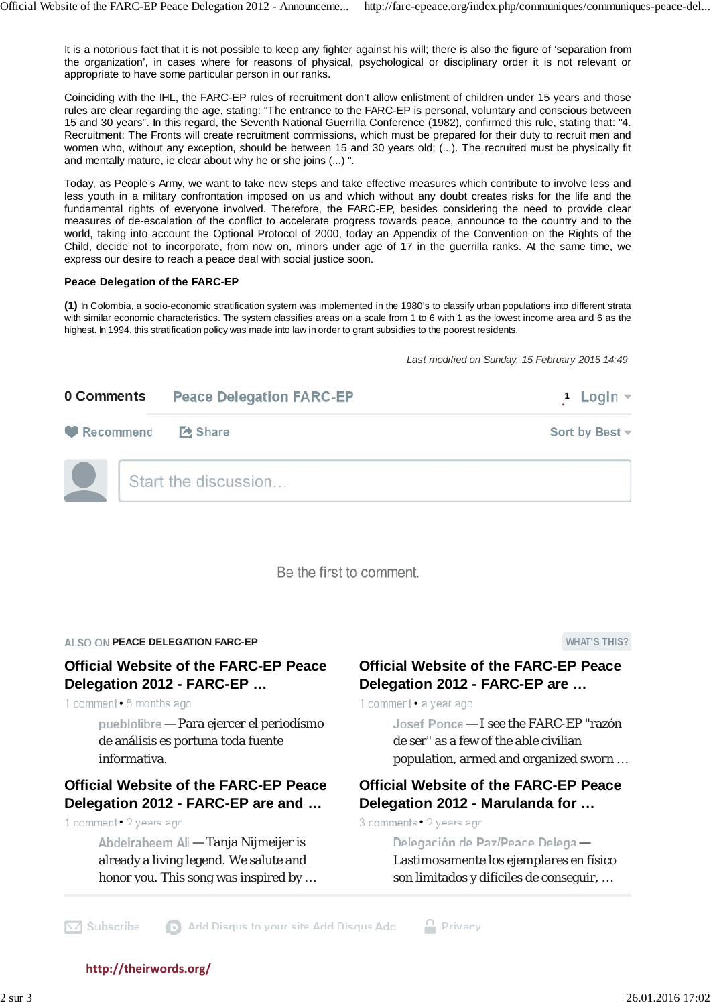It is a notorious fact that it is not possible to keep any fighter against his will; there is also the figure of 'separation from the organization', in cases where for reasons of physical, psychological or disciplinary order it is not relevant or appropriate to have some particular person in our ranks.

Coinciding with the IHL, the FARC-EP rules of recruitment don't allow enlistment of children under 15 years and those rules are clear regarding the age, stating: "The entrance to the FARC-EP is personal, voluntary and conscious between 15 and 30 years". In this regard, the Seventh National Guerrilla Conference (1982), confirmed this rule, stating that: "4. Recruitment: The Fronts will create recruitment commissions, which must be prepared for their duty to recruit men and women who, without any exception, should be between 15 and 30 years old; (...). The recruited must be physically fit and mentally mature, ie clear about why he or she joins (...) ".

Today, as People's Army, we want to take new steps and take effective measures which contribute to involve less and less youth in a military confrontation imposed on us and which without any doubt creates risks for the life and the fundamental rights of everyone involved. Therefore, the FARC-EP, besides considering the need to provide clear measures of de-escalation of the conflict to accelerate progress towards peace, announce to the country and to the world, taking into account the Optional Protocol of 2000, today an Appendix of the Convention on the Rights of the Child, decide not to incorporate, from now on, minors under age of 17 in the guerrilla ranks. At the same time, we express our desire to reach a peace deal with social justice soon.

### **Peace Delegation of the FARC-EP**

**(1)** In Colombia, a socio-economic stratification system was implemented in the 1980's to classify urban populations into different strata with similar economic characteristics. The system classifies areas on a scale from 1 to 6 with 1 as the lowest income area and 6 as the highest. In 1994, this stratification policy was made into law in order to grant subsidies to the poorest residents.

*Last modified on Sunday, 15 February 2015 14:49*

| 0 Comments | <b>Peace Delegation FARC-EP</b> | 1 Login $\sim$      |
|------------|---------------------------------|---------------------|
| Recommend  | <b>Z</b> Share                  | Sort by Best $\sim$ |
|            | Start the discussion            |                     |

Be the first to comment.

### **ALSO ON PEACE DELEGATION FARC-EP**

# **Official Website of the FARC-EP Peace Delegation 2012 - FARC-EP …**

1 comment • 5 months ago

 — Para ejercer el periodísmo de análisis es portuna toda fuente informativa.

## **Official Website of the FARC-EP Peace Delegation 2012 - FARC-EP are and …**

1 comment . 2 years ago

Abdelraheem Ali - Tanja Nijmeijer is already a living legend. We salute and honor you. This song was inspired by … **WHAT'S THIS?** 

## **Official Website of the FARC-EP Peace Delegation 2012 - FARC-EP are …**

1 comment · a year ago

Josef Ponce - I see the FARC-EP "razón de ser" as a few of the able civilian population, armed and organized sworn …

# **Official Website of the FARC-EP Peace Delegation 2012 - Marulanda for …**

3 comments • 2 years ago

 $P$  Privacy

Delegación de Paz/Peace Delega -Lastimosamente los ejemplares en físico son limitados y difíciles de conseguir, …

Add Disqus to your site Add Disqus Add  $\sqrt{\times}$  Subscribe